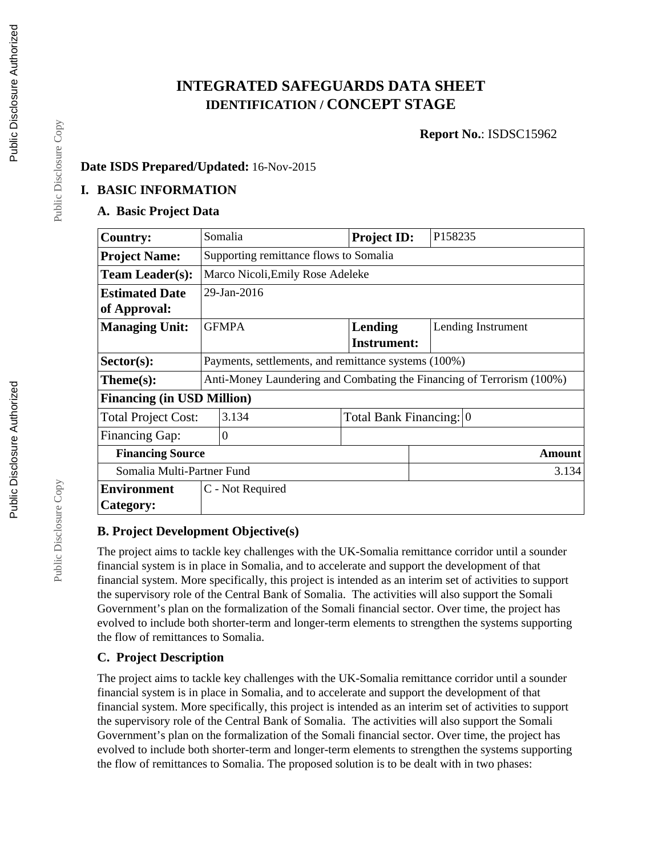# **INTEGRATED SAFEGUARDS DATA SHEET IDENTIFICATION / CONCEPT STAGE**

**Report No.**: ISDSC15962

## **Date ISDS Prepared/Updated:** 16-Nov-2015

#### **I. BASIC INFORMATION**

#### **A. Basic Project Data**

| <b>Country:</b>                   | Somalia                                                               |  | <b>Project ID:</b> | P158235                 |  |  |
|-----------------------------------|-----------------------------------------------------------------------|--|--------------------|-------------------------|--|--|
| <b>Project Name:</b>              | Supporting remittance flows to Somalia                                |  |                    |                         |  |  |
| <b>Team Leader(s):</b>            | Marco Nicoli, Emily Rose Adeleke                                      |  |                    |                         |  |  |
| <b>Estimated Date</b>             | 29-Jan-2016                                                           |  |                    |                         |  |  |
| of Approval:                      |                                                                       |  |                    |                         |  |  |
| <b>Managing Unit:</b>             | <b>GFMPA</b>                                                          |  | Lending            | Lending Instrument      |  |  |
|                                   |                                                                       |  | <b>Instrument:</b> |                         |  |  |
| $Sector(s)$ :                     | Payments, settlements, and remittance systems (100%)                  |  |                    |                         |  |  |
| $Thene(s):$                       | Anti-Money Laundering and Combating the Financing of Terrorism (100%) |  |                    |                         |  |  |
| <b>Financing (in USD Million)</b> |                                                                       |  |                    |                         |  |  |
| <b>Total Project Cost:</b>        | 3.134                                                                 |  |                    | Total Bank Financing: 0 |  |  |
| Financing Gap:                    | $\Omega$                                                              |  |                    |                         |  |  |
| <b>Financing Source</b>           |                                                                       |  |                    | Amount                  |  |  |
| Somalia Multi-Partner Fund        |                                                                       |  |                    | 3.134                   |  |  |
| <b>Environment</b>                | C - Not Required                                                      |  |                    |                         |  |  |
| Category:                         |                                                                       |  |                    |                         |  |  |

### **B. Project Development Objective(s)**

The project aims to tackle key challenges with the UK-Somalia remittance corridor until a sounder financial system is in place in Somalia, and to accelerate and support the development of that financial system. More specifically, this project is intended as an interim set of activities to support the supervisory role of the Central Bank of Somalia. The activities will also support the Somali Government's plan on the formalization of the Somali financial sector. Over time, the project has evolved to include both shorter-term and longer-term elements to strengthen the systems supporting the flow of remittances to Somalia.

### **C. Project Description**

The project aims to tackle key challenges with the UK-Somalia remittance corridor until a sounder financial system is in place in Somalia, and to accelerate and support the development of that financial system. More specifically, this project is intended as an interim set of activities to support the supervisory role of the Central Bank of Somalia. The activities will also support the Somali Government's plan on the formalization of the Somali financial sector. Over time, the project has evolved to include both shorter-term and longer-term elements to strengthen the systems supporting the flow of remittances to Somalia. The proposed solution is to be dealt with in two phases:

Public Disclosure Copy

Public Disclosure Copy

Public Disclosure Copy

Public Disclosure Copy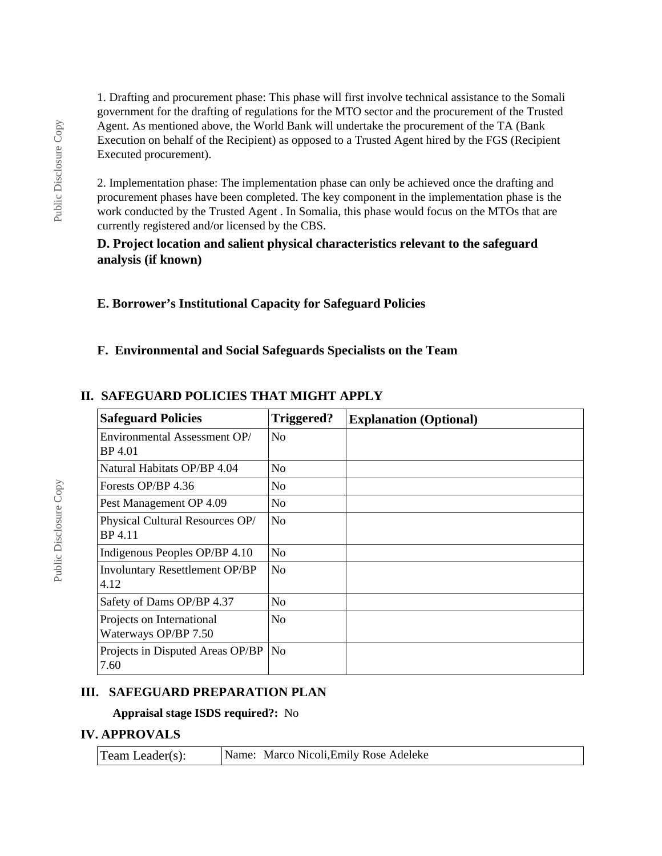1. Drafting and procurement phase: This phase will first involve technical assistance to the Somali government for the drafting of regulations for the MTO sector and the procurement of the Trusted Agent. As mentioned above, the World Bank will undertake the procurement of the TA (Bank Execution on behalf of the Recipient) as opposed to a Trusted Agent hired by the FGS (Recipient Executed procurement).

2. Implementation phase: The implementation phase can only be achieved once the drafting and procurement phases have been completed. The key component in the implementation phase is the work conducted by the Trusted Agent . In Somalia, this phase would focus on the MTOs that are currently registered and/or licensed by the CBS.

#### **D. Project location and salient physical characteristics relevant to the safeguard analysis (if known)**

### **E. Borrower's Institutional Capacity for Safeguard Policies**

### **F. Environmental and Social Safeguards Specialists on the Team**

#### **Safeguard Policies Triggered? Explanation (Optional)** Environmental Assessment OP/ BP 4.01 No Natural Habitats OP/BP  $4.04$  No Forests OP/BP 4.36  $\sqrt{N_Q}$ Pest Management OP  $4.09$  No Physical Cultural Resources OP/ BP 4.11 No Indigenous Peoples OP/BP  $4.10$  No Involuntary Resettlement OP/BP 4.12 No Safety of Dams OP/BP  $4.37$  No Projects on International Waterways OP/BP 7.50 No Projects in Disputed Areas OP/BP No

#### **II. SAFEGUARD POLICIES THAT MIGHT APPLY**

#### **III. SAFEGUARD PREPARATION PLAN**

#### **Appraisal stage ISDS required?:** No

#### **IV. APPROVALS**

7.60